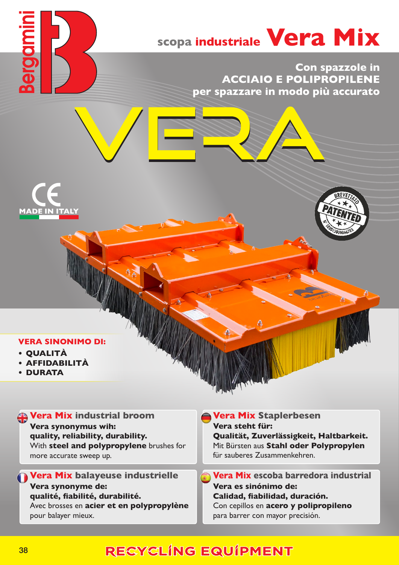# **scopa industriale Vera Mix**

 **Con spazzole in ACCIAIO E POLIPROPILENE per spazzare in modo più accurato**





- **• QUALITÀ**
- **• AFFIDABILITÀ**
- **• DURATA**

### **Vera Mix industrial broom**

**Vera synonymus wih: quality, reliability, durability.** With **steel and polypropylene** brushes for more accurate sweep up.

**Vera Mix balayeuse industrielle Vera synonyme de: qualité, fiabilité, durabilité.** Avec brosses en **acier et en polypropylène** pour balayer mieux.

#### **Vera Mix Staplerbesen Vera steht für: Qualität, Zuverlässigkeit, Haltbarkeit.** Mit Bürsten aus **Stahl oder Polypropylen** für sauberes Zusammenkehren.

**Vera Mix escoba barredora industrial Vera es sinónimo de: Calidad, fiabilidad, duración.** Con cepillos en **acero y polipropileno** para barrer con mayor precisión.

# RECYCLING EQUIPMENT